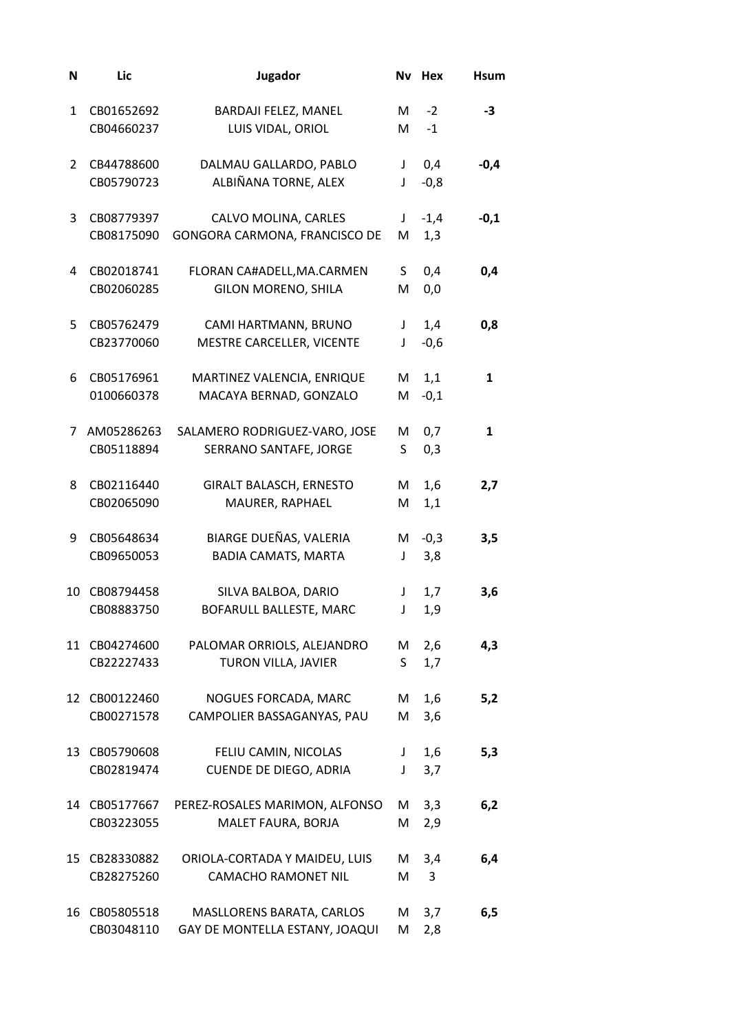| N  | Lic                         | Jugador                                                     | Nv      | Hex           | <b>Hsum</b> |
|----|-----------------------------|-------------------------------------------------------------|---------|---------------|-------------|
| 1  | CB01652692<br>CB04660237    | BARDAJI FELEZ, MANEL<br>LUIS VIDAL, ORIOL                   | M<br>М  | $-2$<br>$-1$  | -3          |
| 2  | CB44788600<br>CB05790723    | DALMAU GALLARDO, PABLO<br>ALBIÑANA TORNE, ALEX              | J<br>J  | 0,4<br>$-0,8$ | $-0,4$      |
| 3  | CB08779397<br>CB08175090    | CALVO MOLINA, CARLES<br>GONGORA CARMONA, FRANCISCO DE       | J<br>M  | $-1,4$<br>1,3 | $-0,1$      |
| 4  | CB02018741<br>CB02060285    | FLORAN CA#ADELL, MA.CARMEN<br><b>GILON MORENO, SHILA</b>    | S<br>M  | 0,4<br>0,0    | 0,4         |
| 5  | CB05762479<br>CB23770060    | CAMI HARTMANN, BRUNO<br>MESTRE CARCELLER, VICENTE           | J<br>J  | 1,4<br>$-0,6$ | 0,8         |
| 6  | CB05176961<br>0100660378    | MARTINEZ VALENCIA, ENRIQUE<br>MACAYA BERNAD, GONZALO        | M<br>M  | 1,1<br>$-0,1$ | 1           |
| 7  | AM05286263<br>CB05118894    | SALAMERO RODRIGUEZ-VARO, JOSE<br>SERRANO SANTAFE, JORGE     | М<br>S  | 0,7<br>0,3    | 1           |
| 8  | CB02116440<br>CB02065090    | <b>GIRALT BALASCH, ERNESTO</b><br>MAURER, RAPHAEL           | M<br>M  | 1,6<br>1,1    | 2,7         |
| 9  | CB05648634<br>CB09650053    | BIARGE DUEÑAS, VALERIA<br><b>BADIA CAMATS, MARTA</b>        | M<br>J  | $-0,3$<br>3,8 | 3,5         |
| 10 | CB08794458<br>CB08883750    | SILVA BALBOA, DARIO<br>BOFARULL BALLESTE, MARC              | J<br>J  | 1,7<br>1,9    | 3,6         |
|    | 11 CB04274600<br>CB22227433 | PALOMAR ORRIOLS, ALEJANDRO<br>TURON VILLA, JAVIER           | M<br>S. | 2,6<br>1,7    | 4,3         |
| 12 | CB00122460<br>CB00271578    | NOGUES FORCADA, MARC<br>CAMPOLIER BASSAGANYAS, PAU          | M<br>M  | 1,6<br>3,6    | 5,2         |
| 13 | CB05790608<br>CB02819474    | FELIU CAMIN, NICOLAS<br><b>CUENDE DE DIEGO, ADRIA</b>       | J<br>J  | 1,6<br>3,7    | 5,3         |
| 14 | CB05177667<br>CB03223055    | PEREZ-ROSALES MARIMON, ALFONSO<br>MALET FAURA, BORJA        | M<br>M  | 3,3<br>2,9    | 6,2         |
| 15 | CB28330882<br>CB28275260    | ORIOLA-CORTADA Y MAIDEU, LUIS<br><b>CAMACHO RAMONET NIL</b> | M<br>M  | 3,4<br>3      | 6,4         |
| 16 | CB05805518<br>CB03048110    | MASLLORENS BARATA, CARLOS<br>GAY DE MONTELLA ESTANY, JOAQUI | M<br>M  | 3,7<br>2,8    | 6,5         |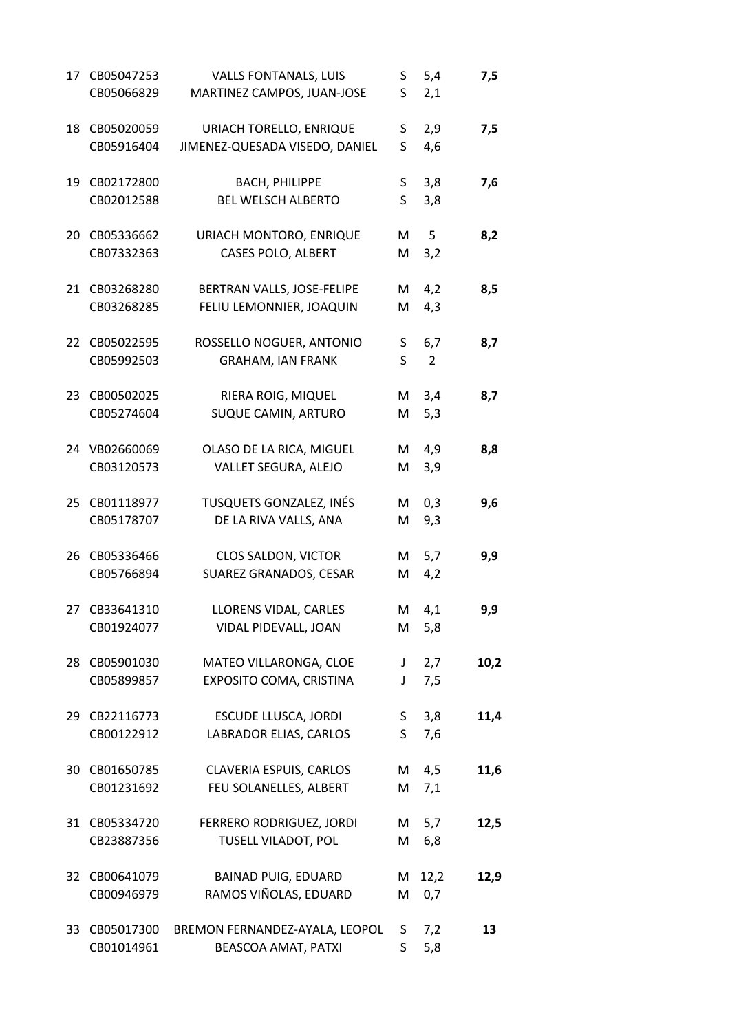| 17 | CB05047253    | <b>VALLS FONTANALS, LUIS</b>   | S   | 5,4            | 7,5  |
|----|---------------|--------------------------------|-----|----------------|------|
|    | CB05066829    | MARTINEZ CAMPOS, JUAN-JOSE     | S   | 2,1            |      |
| 18 | CB05020059    | URIACH TORELLO, ENRIQUE        | S   | 2,9            | 7,5  |
|    | CB05916404    | JIMENEZ-QUESADA VISEDO, DANIEL | S   | 4,6            |      |
| 19 | CB02172800    | <b>BACH, PHILIPPE</b>          | S   | 3,8            | 7,6  |
|    | CB02012588    | <b>BEL WELSCH ALBERTO</b>      | S   | 3,8            |      |
| 20 | CB05336662    | URIACH MONTORO, ENRIQUE        | M   | 5              | 8,2  |
|    | CB07332363    | CASES POLO, ALBERT             | M   | 3,2            |      |
| 21 | CB03268280    | BERTRAN VALLS, JOSE-FELIPE     | M   | 4,2            | 8,5  |
|    | CB03268285    | FELIU LEMONNIER, JOAQUIN       | M   | 4,3            |      |
| 22 | CB05022595    | ROSSELLO NOGUER, ANTONIO       | S   | 6,7            | 8,7  |
|    | CB05992503    | <b>GRAHAM, IAN FRANK</b>       | S   | $\overline{2}$ |      |
| 23 | CB00502025    | RIERA ROIG, MIQUEL             | M   | 3,4            | 8,7  |
|    | CB05274604    | SUQUE CAMIN, ARTURO            | M   | 5,3            |      |
|    | 24 VB02660069 | OLASO DE LA RICA, MIGUEL       | M   | 4,9            | 8,8  |
|    | CB03120573    | VALLET SEGURA, ALEJO           | M   | 3,9            |      |
| 25 | CB01118977    | TUSQUETS GONZALEZ, INÉS        | M   | 0,3            | 9,6  |
|    | CB05178707    | DE LA RIVA VALLS, ANA          | M   | 9,3            |      |
| 26 | CB05336466    | CLOS SALDON, VICTOR            | M   | 5,7            | 9,9  |
|    | CB05766894    | SUAREZ GRANADOS, CESAR         | M   | 4,2            |      |
| 27 | CB33641310    | LLORENS VIDAL, CARLES          | М   | 4,1            | 9,9  |
|    | CB01924077    | VIDAL PIDEVALL, JOAN           | M   | 5,8            |      |
| 28 | CB05901030    | MATEO VILLARONGA, CLOE         | J   | 2,7            | 10,2 |
|    | CB05899857    | EXPOSITO COMA, CRISTINA        | J   | 7,5            |      |
| 29 | CB22116773    | <b>ESCUDE LLUSCA, JORDI</b>    | S — | 3,8            | 11,4 |
|    | CB00122912    | LABRADOR ELIAS, CARLOS         | S.  | 7,6            |      |
| 30 | CB01650785    | CLAVERIA ESPUIS, CARLOS        |     | M 4,5          | 11,6 |
|    | CB01231692    | FEU SOLANELLES, ALBERT         | M   | 7,1            |      |
| 31 | CB05334720    | FERRERO RODRIGUEZ, JORDI       |     | M 5,7          | 12,5 |
|    | CB23887356    | TUSELL VILADOT, POL            | M   | 6,8            |      |
| 32 | CB00641079    | <b>BAINAD PUIG, EDUARD</b>     |     | M 12,2         | 12,9 |
|    | CB00946979    | RAMOS VIÑOLAS, EDUARD          | M   | 0,7            |      |
| 33 | CB05017300    | BREMON FERNANDEZ-AYALA, LEOPOL | S.  | 7,2            | 13   |
|    | CB01014961    | BEASCOA AMAT, PATXI            | S.  | 5,8            |      |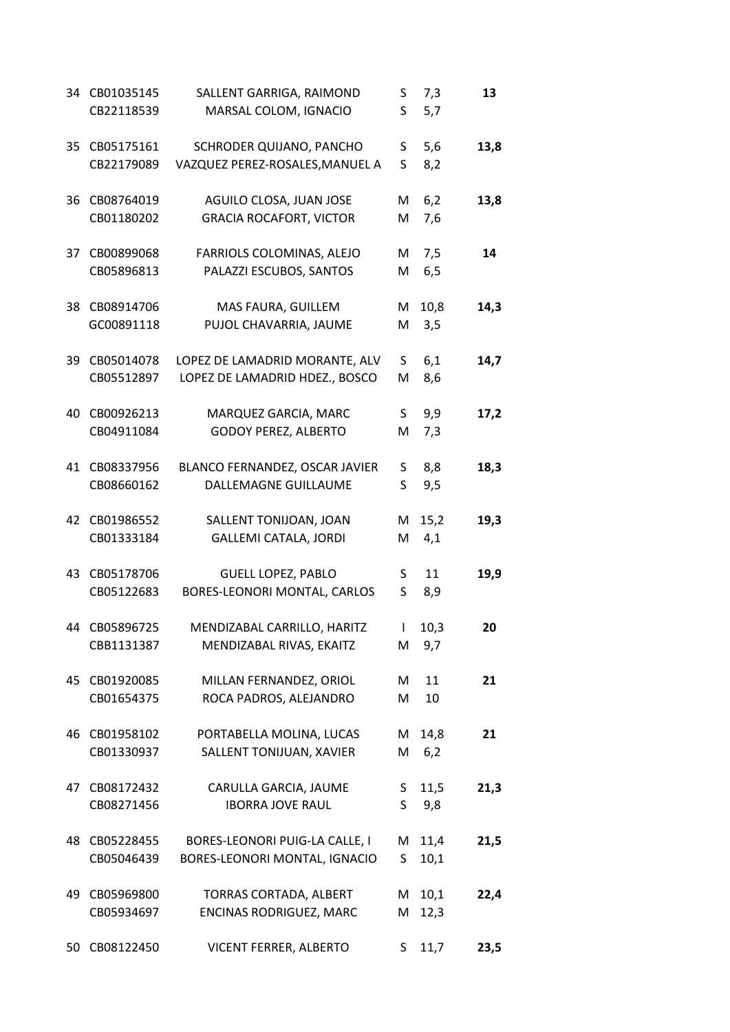| 34 | CB01035145<br>CB22118539 | SALLENT GARRIGA, RAIMOND<br>MARSAL COLOM, IGNACIO | S<br>S | 7,3      | 13   |
|----|--------------------------|---------------------------------------------------|--------|----------|------|
|    |                          |                                                   |        | 5,7      |      |
| 35 | CB05175161               | SCHRODER QUIJANO, PANCHO                          | S      | 5,6      | 13,8 |
|    | CB22179089               | VAZQUEZ PEREZ-ROSALES, MANUEL A                   | S      | 8,2      |      |
| 36 | CB08764019               | AGUILO CLOSA, JUAN JOSE                           | M      | 6,2      | 13,8 |
|    | CB01180202               | <b>GRACIA ROCAFORT, VICTOR</b>                    | M      | 7,6      |      |
| 37 | CB00899068               | FARRIOLS COLOMINAS, ALEJO                         | M      | 7,5      | 14   |
|    | CB05896813               | PALAZZI ESCUBOS, SANTOS                           | M      | 6,5      |      |
| 38 | CB08914706               | MAS FAURA, GUILLEM                                | M      | 10,8     | 14,3 |
|    | GC00891118               | PUJOL CHAVARRIA, JAUME                            | M      | 3,5      |      |
| 39 | CB05014078               | LOPEZ DE LAMADRID MORANTE, ALV                    | S      | 6,1      | 14,7 |
|    | CB05512897               | LOPEZ DE LAMADRID HDEZ., BOSCO                    | M      | 8,6      |      |
| 40 | CB00926213               | MARQUEZ GARCIA, MARC                              | S.     | 9,9      | 17,2 |
|    | CB04911084               | <b>GODOY PEREZ, ALBERTO</b>                       | M      | 7,3      |      |
| 41 | CB08337956               | BLANCO FERNANDEZ, OSCAR JAVIER                    | S      | 8,8      | 18,3 |
|    | CB08660162               | DALLEMAGNE GUILLAUME                              | S      | 9,5      |      |
| 42 | CB01986552               | SALLENT TONIJOAN, JOAN                            | M      | 15,2     | 19,3 |
|    | CB01333184               | <b>GALLEMI CATALA, JORDI</b>                      | Μ      | 4,1      |      |
| 43 | CB05178706               | <b>GUELL LOPEZ, PABLO</b>                         | S      | 11       | 19,9 |
|    | CB05122683               | BORES-LEONORI MONTAL, CARLOS                      | S.     | 8,9      |      |
| 44 | CB05896725               | MENDIZABAL CARRILLO, HARITZ                       | L      | 10,3     | 20   |
|    | CBB1131387               | MENDIZABAL RIVAS, EKAITZ                          | M      | 9,7      |      |
| 45 | CB01920085               | MILLAN FERNANDEZ, ORIOL                           | M      | 11       | 21   |
|    | CB01654375               | ROCA PADROS, ALEJANDRO                            | M      | 10       |      |
| 46 | CB01958102               | PORTABELLA MOLINA, LUCAS                          | M      | 14,8     | 21   |
|    | CB01330937               | SALLENT TONIJUAN, XAVIER                          | M      | 6,2      |      |
| 47 | CB08172432               | CARULLA GARCIA, JAUME                             | S.     | 11,5     | 21,3 |
|    | CB08271456               | <b>IBORRA JOVE RAUL</b>                           | S.     | 9,8      |      |
| 48 | CB05228455               | BORES-LEONORI PUIG-LA CALLE, I                    | M      | 11,4     | 21,5 |
|    | CB05046439               | BORES-LEONORI MONTAL, IGNACIO                     | S      | 10,1     |      |
| 49 | CB05969800               | TORRAS CORTADA, ALBERT                            |        | $M$ 10,1 | 22,4 |
|    | CB05934697               | ENCINAS RODRIGUEZ, MARC                           | M      | 12,3     |      |
| 50 | CB08122450               | VICENT FERRER, ALBERTO                            | S.     | 11,7     | 23,5 |